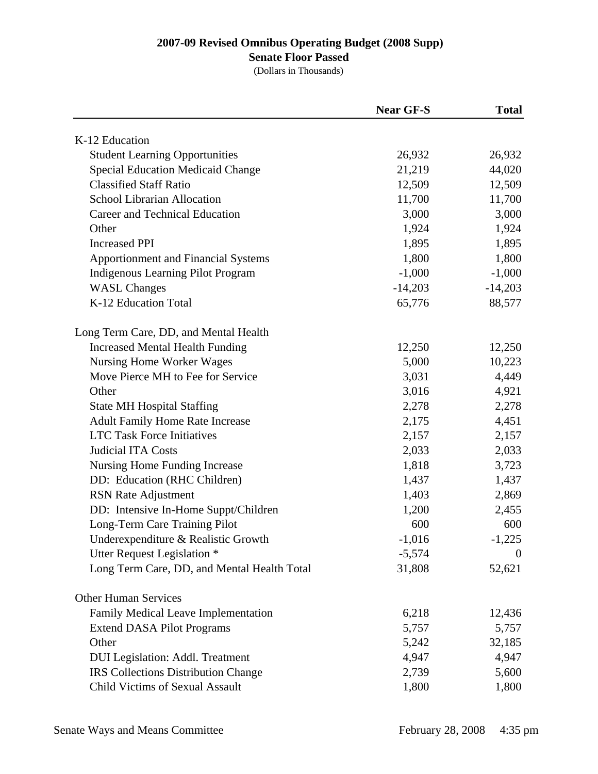## **Senate Floor Passed**

|                                             | <b>Near GF-S</b> | <b>Total</b> |
|---------------------------------------------|------------------|--------------|
| K-12 Education                              |                  |              |
| <b>Student Learning Opportunities</b>       | 26,932           | 26,932       |
| <b>Special Education Medicaid Change</b>    | 21,219           | 44,020       |
| <b>Classified Staff Ratio</b>               | 12,509           | 12,509       |
| School Librarian Allocation                 | 11,700           | 11,700       |
| Career and Technical Education              | 3,000            | 3,000        |
| Other                                       | 1,924            | 1,924        |
| <b>Increased PPI</b>                        | 1,895            | 1,895        |
| <b>Apportionment and Financial Systems</b>  | 1,800            | 1,800        |
| Indigenous Learning Pilot Program           | $-1,000$         | $-1,000$     |
| <b>WASL Changes</b>                         | $-14,203$        | $-14,203$    |
| K-12 Education Total                        | 65,776           | 88,577       |
| Long Term Care, DD, and Mental Health       |                  |              |
| <b>Increased Mental Health Funding</b>      | 12,250           | 12,250       |
| <b>Nursing Home Worker Wages</b>            | 5,000            | 10,223       |
| Move Pierce MH to Fee for Service           | 3,031            | 4,449        |
| Other                                       | 3,016            | 4,921        |
| <b>State MH Hospital Staffing</b>           | 2,278            | 2,278        |
| <b>Adult Family Home Rate Increase</b>      | 2,175            | 4,451        |
| <b>LTC Task Force Initiatives</b>           | 2,157            | 2,157        |
| <b>Judicial ITA Costs</b>                   | 2,033            | 2,033        |
| Nursing Home Funding Increase               | 1,818            | 3,723        |
| DD: Education (RHC Children)                | 1,437            | 1,437        |
| <b>RSN</b> Rate Adjustment                  | 1,403            | 2,869        |
| DD: Intensive In-Home Suppt/Children        | 1,200            | 2,455        |
| Long-Term Care Training Pilot               | 600              | 600          |
| Underexpenditure & Realistic Growth         | $-1,016$         | $-1,225$     |
| Utter Request Legislation *                 | $-5,574$         | $\theta$     |
| Long Term Care, DD, and Mental Health Total | 31,808           | 52,621       |
| <b>Other Human Services</b>                 |                  |              |
| Family Medical Leave Implementation         | 6,218            | 12,436       |
| <b>Extend DASA Pilot Programs</b>           | 5,757            | 5,757        |
| Other                                       | 5,242            | 32,185       |
| <b>DUI</b> Legislation: Addl. Treatment     | 4,947            | 4,947        |
| <b>IRS Collections Distribution Change</b>  | 2,739            | 5,600        |
| Child Victims of Sexual Assault             | 1,800            | 1,800        |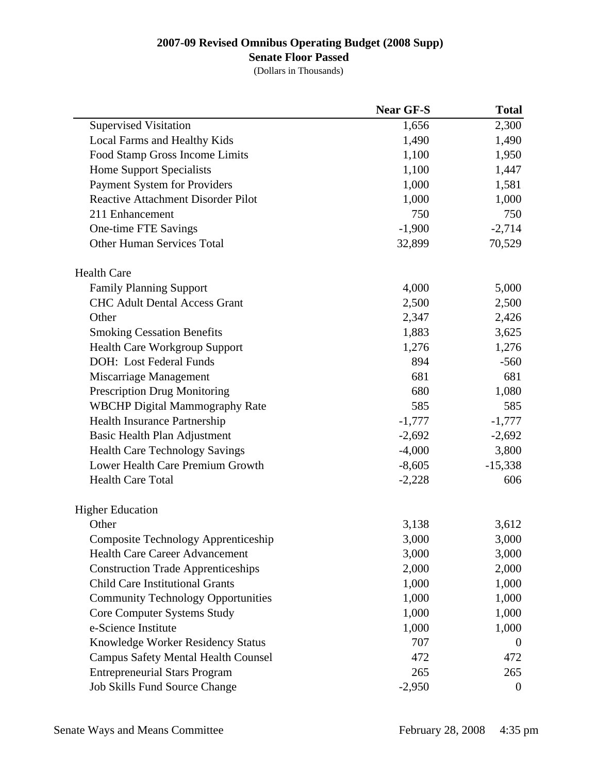## **Senate Floor Passed**

|                                            | <b>Near GF-S</b> | <b>Total</b>     |
|--------------------------------------------|------------------|------------------|
| <b>Supervised Visitation</b>               | 1,656            | 2,300            |
| Local Farms and Healthy Kids               | 1,490            | 1,490            |
| Food Stamp Gross Income Limits             | 1,100            | 1,950            |
| <b>Home Support Specialists</b>            | 1,100            | 1,447            |
| Payment System for Providers               | 1,000            | 1,581            |
| <b>Reactive Attachment Disorder Pilot</b>  | 1,000            | 1,000            |
| 211 Enhancement                            | 750              | 750              |
| One-time FTE Savings                       | $-1,900$         | $-2,714$         |
| <b>Other Human Services Total</b>          | 32,899           | 70,529           |
| <b>Health Care</b>                         |                  |                  |
| <b>Family Planning Support</b>             | 4,000            | 5,000            |
| <b>CHC Adult Dental Access Grant</b>       | 2,500            | 2,500            |
| Other                                      | 2,347            | 2,426            |
| <b>Smoking Cessation Benefits</b>          | 1,883            | 3,625            |
| <b>Health Care Workgroup Support</b>       | 1,276            | 1,276            |
| DOH: Lost Federal Funds                    | 894              | $-560$           |
| Miscarriage Management                     | 681              | 681              |
| <b>Prescription Drug Monitoring</b>        | 680              | 1,080            |
| <b>WBCHP Digital Mammography Rate</b>      | 585              | 585              |
| Health Insurance Partnership               | $-1,777$         | $-1,777$         |
| Basic Health Plan Adjustment               | $-2,692$         | $-2,692$         |
| <b>Health Care Technology Savings</b>      | $-4,000$         | 3,800            |
| Lower Health Care Premium Growth           | $-8,605$         | $-15,338$        |
| <b>Health Care Total</b>                   | $-2,228$         | 606              |
| <b>Higher Education</b>                    |                  |                  |
| Other                                      | 3,138            | 3,612            |
| Composite Technology Apprenticeship        | 3,000            | 3,000            |
| Health Care Career Advancement             | 3,000            | 3,000            |
| <b>Construction Trade Apprenticeships</b>  | 2,000            | 2,000            |
| <b>Child Care Institutional Grants</b>     | 1,000            | 1,000            |
| <b>Community Technology Opportunities</b>  | 1,000            | 1,000            |
| Core Computer Systems Study                | 1,000            | 1,000            |
| e-Science Institute                        | 1,000            | 1,000            |
| Knowledge Worker Residency Status          | 707              | $\theta$         |
| <b>Campus Safety Mental Health Counsel</b> | 472              | 472              |
| <b>Entrepreneurial Stars Program</b>       | 265              | 265              |
| <b>Job Skills Fund Source Change</b>       | $-2,950$         | $\boldsymbol{0}$ |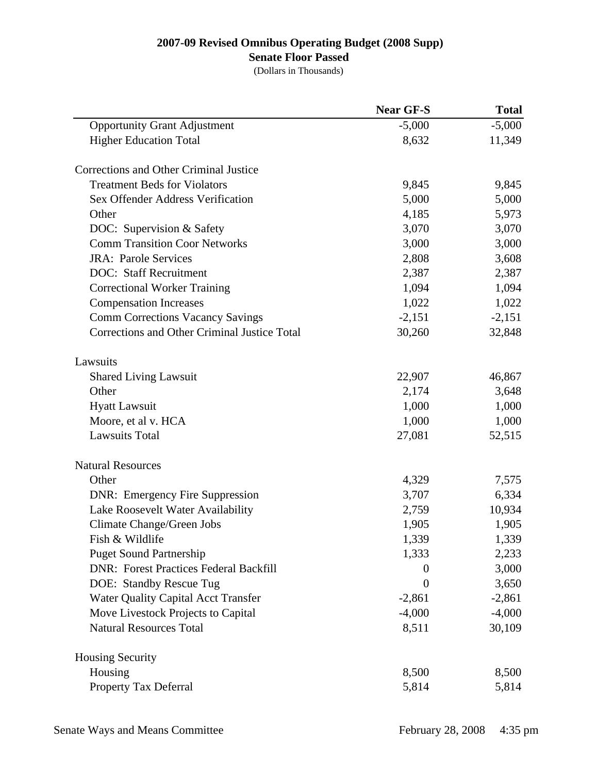## **Senate Floor Passed**

|                                               | <b>Near GF-S</b> | <b>Total</b> |
|-----------------------------------------------|------------------|--------------|
| <b>Opportunity Grant Adjustment</b>           | $-5,000$         | $-5,000$     |
| <b>Higher Education Total</b>                 | 8,632            | 11,349       |
| Corrections and Other Criminal Justice        |                  |              |
| <b>Treatment Beds for Violators</b>           | 9,845            | 9,845        |
| Sex Offender Address Verification             | 5,000            | 5,000        |
| Other                                         | 4,185            | 5,973        |
| DOC: Supervision & Safety                     | 3,070            | 3,070        |
| <b>Comm Transition Coor Networks</b>          | 3,000            | 3,000        |
| <b>JRA: Parole Services</b>                   | 2,808            | 3,608        |
| <b>DOC: Staff Recruitment</b>                 | 2,387            | 2,387        |
| <b>Correctional Worker Training</b>           | 1,094            | 1,094        |
| <b>Compensation Increases</b>                 | 1,022            | 1,022        |
| <b>Comm Corrections Vacancy Savings</b>       | $-2,151$         | $-2,151$     |
| Corrections and Other Criminal Justice Total  | 30,260           | 32,848       |
| Lawsuits                                      |                  |              |
| <b>Shared Living Lawsuit</b>                  | 22,907           | 46,867       |
| Other                                         | 2,174            | 3,648        |
| <b>Hyatt Lawsuit</b>                          | 1,000            | 1,000        |
| Moore, et al v. HCA                           | 1,000            | 1,000        |
| <b>Lawsuits Total</b>                         | 27,081           | 52,515       |
| <b>Natural Resources</b>                      |                  |              |
| Other                                         | 4,329            | 7,575        |
| <b>DNR:</b> Emergency Fire Suppression        | 3,707            | 6,334        |
| Lake Roosevelt Water Availability             | 2,759            | 10,934       |
| Climate Change/Green Jobs                     | 1,905            | 1,905        |
| Fish & Wildlife                               | 1,339            | 1,339        |
| <b>Puget Sound Partnership</b>                | 1,333            | 2,233        |
| <b>DNR: Forest Practices Federal Backfill</b> | $\theta$         | 3,000        |
| DOE: Standby Rescue Tug                       | $\boldsymbol{0}$ | 3,650        |
| <b>Water Quality Capital Acct Transfer</b>    | $-2,861$         | $-2,861$     |
| Move Livestock Projects to Capital            | $-4,000$         | $-4,000$     |
| <b>Natural Resources Total</b>                | 8,511            | 30,109       |
| <b>Housing Security</b>                       |                  |              |
| Housing                                       | 8,500            | 8,500        |
| Property Tax Deferral                         | 5,814            | 5,814        |